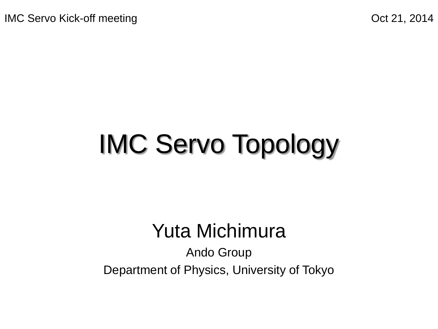# IMC Servo Topology

#### Yuta Michimura

Ando Group Department of Physics, University of Tokyo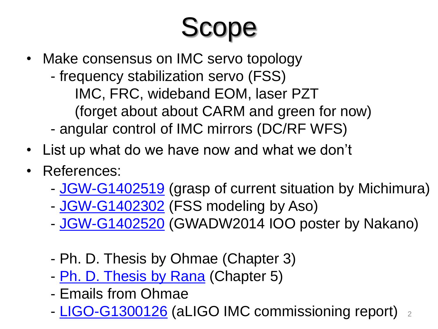# Scope

- Make consensus on IMC servo topology - frequency stabilization servo (FSS) IMC, FRC, wideband EOM, laser PZT (forget about about CARM and green for now) - angular control of IMC mirrors (DC/RF WFS)
- List up what do we have now and what we don't
- References:
	- [JGW-G1402519](http://gwdoc.icrr.u-tokyo.ac.jp/cgi-bin/DocDB/ShowDocument?docid=2519) (grasp of current situation by Michimura)
	- [JGW-G1402302](http://gwdoc.icrr.u-tokyo.ac.jp/cgi-bin/DocDB/ShowDocument?docid=2302) (FSS modeling by Aso)
	- [JGW-G1402520](http://gwdoc.icrr.u-tokyo.ac.jp/cgi-bin/DocDB/ShowDocument?docid=2520) (GWADW2014 IOO poster by Nakano)
	- Ph. D. Thesis by Ohmae (Chapter 3)
	- [Ph. D. Thesis by Rana](https://gwic.ligo.org/thesisprize/2005/Adhikari_Thesis.pdf) (Chapter 5)
	- Emails from Ohmae
	- [LIGO-G1300126](https://dcc.ligo.org/LIGO-G1300126) (aLIGO IMC commissioning report) 2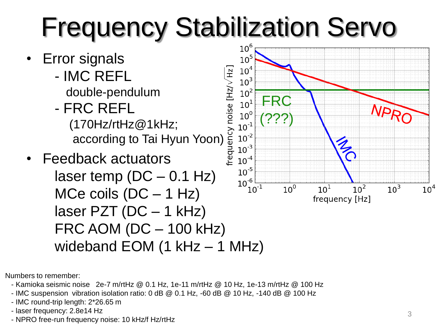# Frequency Stabilization Servo



Numbers to remember:

- Kamioka seismic noise 2e-7 m/rtHz @ 0.1 Hz, 1e-11 m/rtHz @ 10 Hz, 1e-13 m/rtHz @ 100 Hz
- IMC suspension vibration isolation ratio: 0 dB @ 0.1 Hz, -60 dB @ 10 Hz, -140 dB @ 100 Hz
- IMC round-trip length: 2\*26.65 m
- laser frequency: 2.8e14 Hz
- NPRO free-run frequency noise: 10 kHz/f Hz/rtHz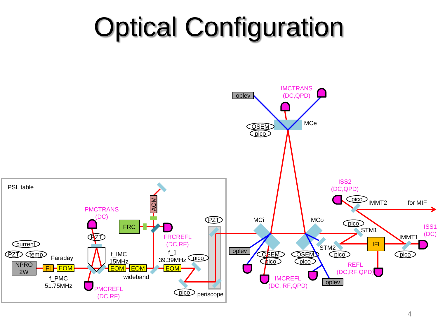#### Optical Configuration

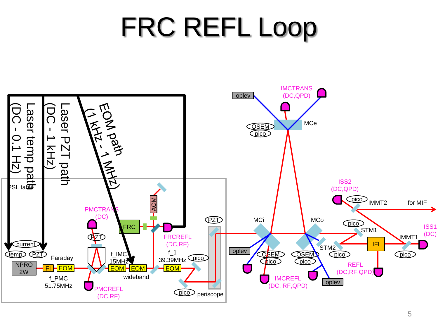## FRC REFL Loop

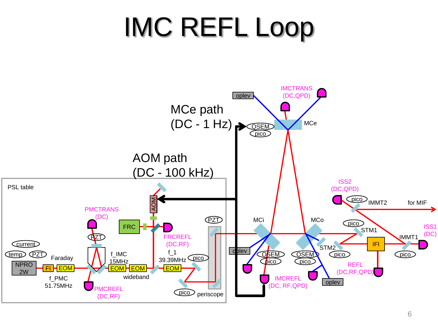## IMC REFL Loop

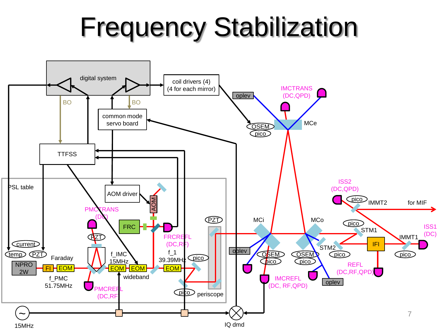### Frequency Stabilization

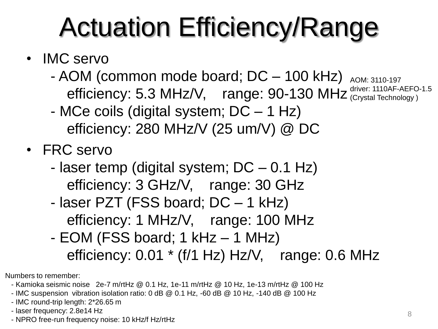### Actuation Efficiency/Range

- IMC servo
	- AOM (common mode board; DC 100 kHz) efficiency: 5.3 MHz/V, range: 90-130 MHz driver: 1110AF-AEFC AOM: 3110-197 driver: 1110AF-AEFO-1.5
		- MCe coils (digital system; DC 1 Hz) efficiency: 280 MHz/V (25 um/V) @ DC
- FRC servo
	- laser temp (digital system; DC 0.1 Hz) efficiency: 3 GHz/V, range: 30 GHz
	- laser PZT (FSS board; DC 1 kHz) efficiency: 1 MHz/V, range: 100 MHz
	- EOM (FSS board; 1 kHz 1 MHz) efficiency:  $0.01 * (f/1 Hz) Hz/V$ , range:  $0.6 MHz$

Numbers to remember:

- Kamioka seismic noise 2e-7 m/rtHz @ 0.1 Hz, 1e-11 m/rtHz @ 10 Hz, 1e-13 m/rtHz @ 100 Hz
- IMC suspension vibration isolation ratio: 0 dB @ 0.1 Hz, -60 dB @ 10 Hz, -140 dB @ 100 Hz
- IMC round-trip length: 2\*26.65 m
- laser frequency: 2.8e14 Hz
- NPRO free-run frequency noise: 10 kHz/f Hz/rtHz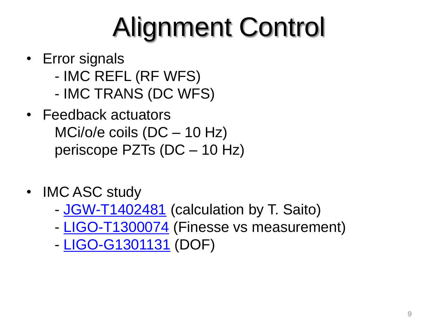# Alignment Control

- Error signals
	- IMC REFL (RF WFS)
	- IMC TRANS (DC WFS)
- Feedback actuators MCi/o/e coils (DC – 10 Hz) periscope PZTs (DC – 10 Hz)
- IMC ASC study
	- [JGW-T1402481](http://gwdoc.icrr.u-tokyo.ac.jp/cgi-bin/private/DocDB/ShowDocument?docid=2481) (calculation by T. Saito)
	- [LIGO-T1300074](https://dcc.ligo.org/LIGO-T1300074) (Finesse vs measurement)
	- [LIGO-G1301131](https://dcc.ligo.org/LIGO-G1301131) (DOF)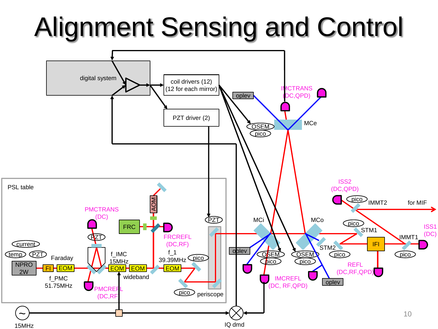## Alignment Sensing and Control

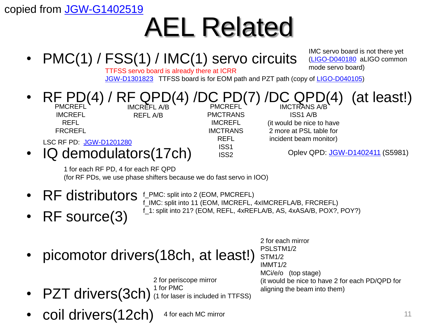copied from [JGW-G1402519](http://gwdoc.icrr.u-tokyo.ac.jp/cgi-bin/DocDB/ShowDocument?docid=2519)

### AEL Related



•  $PZT$  drivers(3ch) (1 for laser is included in TTFSS)

• coil drivers(12ch)

4 for each MC mirror

11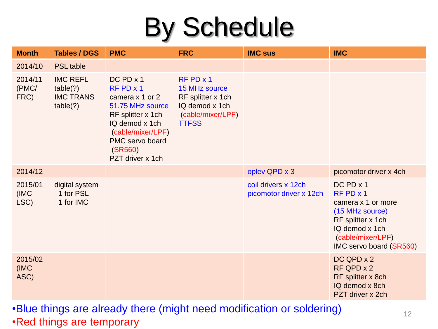### By Schedule

| <b>Month</b>             | <b>Tables / DGS</b>                                         | <b>PMC</b>                                                                                                                                                                          | <b>FRC</b>                                                                                                      | <b>IMC sus</b>                                 | <b>IMC</b>                                                                                                                                                               |
|--------------------------|-------------------------------------------------------------|-------------------------------------------------------------------------------------------------------------------------------------------------------------------------------------|-----------------------------------------------------------------------------------------------------------------|------------------------------------------------|--------------------------------------------------------------------------------------------------------------------------------------------------------------------------|
| 2014/10                  | <b>PSL</b> table                                            |                                                                                                                                                                                     |                                                                                                                 |                                                |                                                                                                                                                                          |
| 2014/11<br>(PMC/<br>FRC) | <b>IMC REFL</b><br>table(?)<br><b>IMC TRANS</b><br>table(?) | $DC$ PD $x$ 1<br>$RF$ PD $x$ 1<br>camera x 1 or 2<br>51.75 MHz source<br>RF splitter x 1ch<br>IQ demod x 1ch<br>(cable/mixer/LPF)<br>PMC servo board<br>(SR560)<br>PZT driver x 1ch | $RF$ PD $\times$ 1<br>15 MHz source<br>RF splitter x 1ch<br>IQ demod x 1ch<br>(cable/mixer/LPF)<br><b>TTFSS</b> |                                                |                                                                                                                                                                          |
| 2014/12                  |                                                             |                                                                                                                                                                                     |                                                                                                                 | oplev QPD x 3                                  | picomotor driver x 4ch                                                                                                                                                   |
| 2015/01<br>(IMC)<br>LSC) | digital system<br>1 for PSL<br>1 for IMC                    |                                                                                                                                                                                     |                                                                                                                 | coil drivers x 12ch<br>picomotor driver x 12ch | $DC$ PD $\times$ 1<br>$RF$ PD $\times$ 1<br>camera x 1 or more<br>(15 MHz source)<br>RF splitter x 1ch<br>IQ demod x 1ch<br>(cable/mixer/LPF)<br>IMC servo board (SR560) |
| 2015/02<br>(IMC)<br>ASC) |                                                             |                                                                                                                                                                                     |                                                                                                                 |                                                | DC QPD x 2<br>RF QPD x 2<br>RF splitter x 8ch<br>IQ demod x 8ch<br>PZT driver x 2ch                                                                                      |

•Blue things are already there (might need modification or soldering) •Red things are temporary